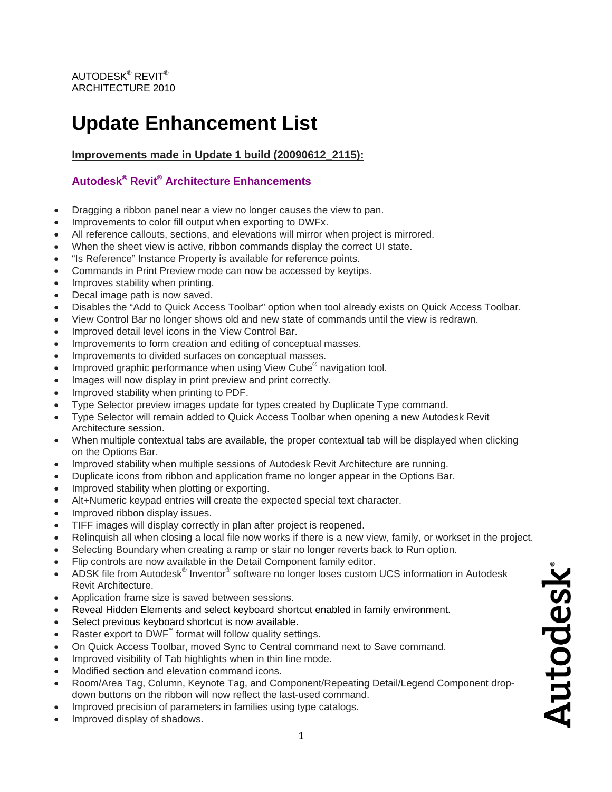# **Update Enhancement List**

**Improvements made in Update 1 build (20090612\_2115):**

## **Autodesk® Revit® Architecture Enhancements**

- Dragging a ribbon panel near a view no longer causes the view to pan.
- Improvements to color fill output when exporting to DWFx.
- All reference callouts, sections, and elevations will mirror when project is mirrored.
- When the sheet view is active, ribbon commands display the correct UI state.
- "Is Reference" Instance Property is available for reference points.
- Commands in Print Preview mode can now be accessed by keytips.
- Improves stability when printing.
- Decal image path is now saved.
- Disables the "Add to Quick Access Toolbar" option when tool already exists on Quick Access Tool bar.
- View Con trol Bar no longer shows old and new state of commands until the view is redrawn.
- Improved detail level icons in the View Control Bar.
- Improvements to form creation and editing of conceptual masses.
- Improvements to divided surfaces on conceptual masses.
- Improved graphic performance when using View Cube<sup>®</sup> navigation tool.
- Images will now display in print preview and print correctly.
- Improved stability when printing to PDF.
- Type Selector preview images update for types created by Duplicate Type command.
- Type Selector will remain added to Quick Access Toolbar when opening a new Autodesk Revit Architecture session.
- When multiple contextual tabs are available, the proper contextual tab will be displayed when clicking on the Options Bar.
- Improved stability when multiple sessions of Autodesk Revit Architecture are running.
- Duplicate icons from ribbon and application frame no longer appear in the Options Bar.
- Improved stability when plotting or exporting.
- Alt+Numeric keypad entries will create the expected special text character.
- Improved ribbon display issues.
- TIFF images will display correctly in plan after project is reopened.
- Relinquish all when closing a local file now works if there is a new view, family, or workset in the project.
- Selecting Boundary when creating a ramp or stair no longer reverts back to Run option.
- Flip controls are now available in the Detail Component family editor.
- ADSK file from Autodesk® Inventor® software no longer loses custom UCS information in Autodesk Revit Architecture.
- Application frame size is saved between sessions.
- Reveal Hidden Elements and select keyboard shortcut enabled in family environment.
- Select previous keyboard shortcut is now available.
- Raster export to DWF<sup>™</sup> format will follow quality settings.
- On Quick Access Toolbar, moved Sync to Central command next to Save command.
- Improved visibility of Tab highlights when in thin line mode.
- Modified section and elevation command icons.
- Room/Area Tag, Column, Keynote Tag, and Component/Repeating Detail/Legend Component dropdown buttons on the ribbon will now reflect the last-used command.
- Improved precision of parameters in families using type catalogs.
- Improved display of shadows.

Autodesk